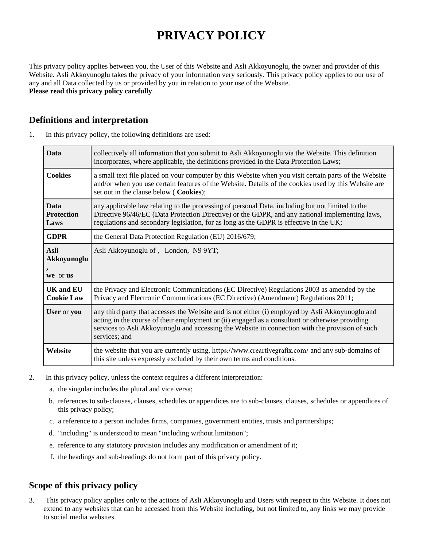# **PRIVACY POLICY**

This privacy policy applies between you, the User of this Website and Asli Akkoyunoglu, the owner and provider of this Website. Asli Akkoyunoglu takes the privacy of your information very seriously. This privacy policy applies to our use of any and all Data collected by us or provided by you in relation to your use of the Website. **Please read this privacy policy carefully**.

#### **Definitions and interpretation**

| <b>Data</b>                           | collectively all information that you submit to Asli Akkoyunoglu via the Website. This definition<br>incorporates, where applicable, the definitions provided in the Data Protection Laws;                                                                                                                              |  |
|---------------------------------------|-------------------------------------------------------------------------------------------------------------------------------------------------------------------------------------------------------------------------------------------------------------------------------------------------------------------------|--|
| <b>Cookies</b>                        | a small text file placed on your computer by this Website when you visit certain parts of the Website<br>and/or when you use certain features of the Website. Details of the cookies used by this Website are<br>set out in the clause below (Cookies);                                                                 |  |
| <b>Data</b><br>Protection<br>Laws     | any applicable law relating to the processing of personal Data, including but not limited to the<br>Directive 96/46/EC (Data Protection Directive) or the GDPR, and any national implementing laws,<br>regulations and secondary legislation, for as long as the GDPR is effective in the UK;                           |  |
| <b>GDPR</b>                           | the General Data Protection Regulation (EU) 2016/679;                                                                                                                                                                                                                                                                   |  |
| <b>Asli</b><br>Akkoyunoglu<br>$\cdot$ | Asli Akkoyunoglu of, London, N9 9YT;                                                                                                                                                                                                                                                                                    |  |
| we or us                              |                                                                                                                                                                                                                                                                                                                         |  |
| <b>UK and EU</b><br><b>Cookie Law</b> | the Privacy and Electronic Communications (EC Directive) Regulations 2003 as amended by the<br>Privacy and Electronic Communications (EC Directive) (Amendment) Regulations 2011;                                                                                                                                       |  |
| User or you                           | any third party that accesses the Website and is not either (i) employed by Asli Akkoyunoglu and<br>acting in the course of their employment or (ii) engaged as a consultant or otherwise providing<br>services to Asli Akkoyunoglu and accessing the Website in connection with the provision of such<br>services; and |  |
| Website                               | the website that you are currently using, https://www.creartivegrafix.com/ and any sub-domains of<br>this site unless expressly excluded by their own terms and conditions.                                                                                                                                             |  |

1. In this privacy policy, the following definitions are used:

- 2. In this privacy policy, unless the context requires a different interpretation:
	- a. the singular includes the plural and vice versa;
	- b. references to sub-clauses, clauses, schedules or appendices are to sub-clauses, clauses, schedules or appendices of this privacy policy;
	- c. a reference to a person includes firms, companies, government entities, trusts and partnerships;
	- d. "including" is understood to mean "including without limitation";
	- e. reference to any statutory provision includes any modification or amendment of it;
	- f. the headings and sub-headings do not form part of this privacy policy.

#### **Scope of this privacy policy**

3. This privacy policy applies only to the actions of Asli Akkoyunoglu and Users with respect to this Website. It does not extend to any websites that can be accessed from this Website including, but not limited to, any links we may provide to social media websites.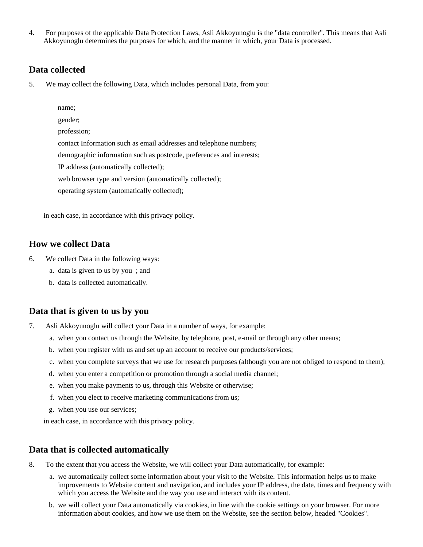4. For purposes of the applicable Data Protection Laws, Asli Akkoyunoglu is the "data controller". This means that Asli Akkoyunoglu determines the purposes for which, and the manner in which, your Data is processed.

#### **Data collected**

5. We may collect the following Data, which includes personal Data, from you:

name;

gender;

profession;

contact Information such as email addresses and telephone numbers;

demographic information such as postcode, preferences and interests;

IP address (automatically collected);

web browser type and version (automatically collected);

operating system (automatically collected);

in each case, in accordance with this privacy policy.

#### **How we collect Data**

- 6. We collect Data in the following ways:
	- a. data is given to us by you ; and
	- b. data is collected automatically.

#### **Data that is given to us by you**

- 7. Asli Akkoyunoglu will collect your Data in a number of ways, for example:
	- a. when you contact us through the Website, by telephone, post, e-mail or through any other means;
	- b. when you register with us and set up an account to receive our products/services;
	- c. when you complete surveys that we use for research purposes (although you are not obliged to respond to them);
	- d. when you enter a competition or promotion through a social media channel;
	- e. when you make payments to us, through this Website or otherwise;
	- f. when you elect to receive marketing communications from us;
	- g. when you use our services;

in each case, in accordance with this privacy policy.

#### **Data that is collected automatically**

- 8. To the extent that you access the Website, we will collect your Data automatically, for example:
	- a. we automatically collect some information about your visit to the Website. This information helps us to make improvements to Website content and navigation, and includes your IP address, the date, times and frequency with which you access the Website and the way you use and interact with its content.
	- b. we will collect your Data automatically via cookies, in line with the cookie settings on your browser. For more information about cookies, and how we use them on the Website, see the section below, headed "Cookies".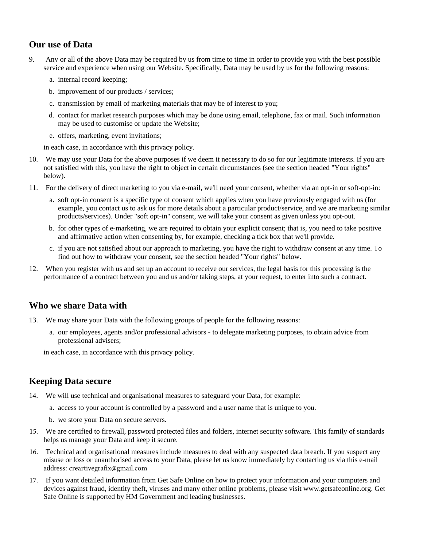## **Our use of Data**

- 9. Any or all of the above Data may be required by us from time to time in order to provide you with the best possible service and experience when using our Website. Specifically, Data may be used by us for the following reasons:
	- a. internal record keeping;
	- b. improvement of our products / services;
	- c. transmission by email of marketing materials that may be of interest to you;
	- d. contact for market research purposes which may be done using email, telephone, fax or mail. Such information may be used to customise or update the Website;
	- e. offers, marketing, event invitations;

in each case, in accordance with this privacy policy.

- 10. We may use your Data for the above purposes if we deem it necessary to do so for our legitimate interests. If you are not satisfied with this, you have the right to object in certain circumstances (see the section headed "Your rights" below).
- 11. For the delivery of direct marketing to you via e-mail, we'll need your consent, whether via an opt-in or soft-opt-in:
	- a. soft opt-in consent is a specific type of consent which applies when you have previously engaged with us (for example, you contact us to ask us for more details about a particular product/service, and we are marketing similar products/services). Under "soft opt-in" consent, we will take your consent as given unless you opt-out.
	- b. for other types of e-marketing, we are required to obtain your explicit consent; that is, you need to take positive and affirmative action when consenting by, for example, checking a tick box that we'll provide.
	- c. if you are not satisfied about our approach to marketing, you have the right to withdraw consent at any time. To find out how to withdraw your consent, see the section headed "Your rights" below.
- 12. When you register with us and set up an account to receive our services, the legal basis for this processing is the performance of a contract between you and us and/or taking steps, at your request, to enter into such a contract.

## **Who we share Data with**

- 13. We may share your Data with the following groups of people for the following reasons:
	- a. our employees, agents and/or professional advisors to delegate marketing purposes, to obtain advice from professional advisers;

in each case, in accordance with this privacy policy.

## **Keeping Data secure**

- 14. We will use technical and organisational measures to safeguard your Data, for example:
	- a. access to your account is controlled by a password and a user name that is unique to you.
	- b. we store your Data on secure servers.
- 15. We are certified to firewall, password protected files and folders, internet security software. This family of standards helps us manage your Data and keep it secure.
- 16. Technical and organisational measures include measures to deal with any suspected data breach. If you suspect any misuse or loss or unauthorised access to your Data, please let us know immediately by contacting us via this e-mail address: creartivegrafix@gmail.com
- 17. If you want detailed information from Get Safe Online on how to protect your information and your computers and devices against fraud, identity theft, viruses and many other online problems, please visit www.getsafeonline.org. Get Safe Online is supported by HM Government and leading businesses.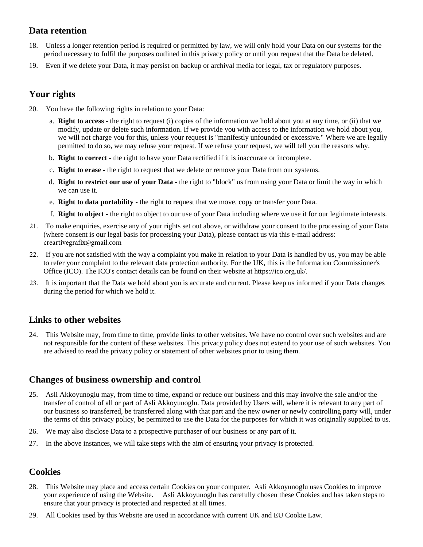## **Data retention**

- 18. Unless a longer retention period is required or permitted by law, we will only hold your Data on our systems for the period necessary to fulfil the purposes outlined in this privacy policy or until you request that the Data be deleted.
- 19. Even if we delete your Data, it may persist on backup or archival media for legal, tax or regulatory purposes.

# **Your rights**

- 20. You have the following rights in relation to your Data:
	- a. **Right to access** the right to request (i) copies of the information we hold about you at any time, or (ii) that we modify, update or delete such information. If we provide you with access to the information we hold about you, we will not charge you for this, unless your request is "manifestly unfounded or excessive." Where we are legally permitted to do so, we may refuse your request. If we refuse your request, we will tell you the reasons why.
	- b. **Right to correct** the right to have your Data rectified if it is inaccurate or incomplete.
	- c. **Right to erase** the right to request that we delete or remove your Data from our systems.
	- d. **Right to restrict our use of your Data** the right to "block" us from using your Data or limit the way in which we can use it.
	- e. **Right to data portability** the right to request that we move, copy or transfer your Data.
	- f. **Right to object** the right to object to our use of your Data including where we use it for our legitimate interests.
- 21. To make enquiries, exercise any of your rights set out above, or withdraw your consent to the processing of your Data (where consent is our legal basis for processing your Data), please contact us via this e-mail address: creartivegrafix@gmail.com
- 22. If you are not satisfied with the way a complaint you make in relation to your Data is handled by us, you may be able to refer your complaint to the relevant data protection authority. For the UK, this is the Information Commissioner's Office (ICO). The ICO's contact details can be found on their website at https://ico.org.uk/.
- 23. It is important that the Data we hold about you is accurate and current. Please keep us informed if your Data changes during the period for which we hold it.

## **Links to other websites**

24. This Website may, from time to time, provide links to other websites. We have no control over such websites and are not responsible for the content of these websites. This privacy policy does not extend to your use of such websites. You are advised to read the privacy policy or statement of other websites prior to using them.

## **Changes of business ownership and control**

- 25. Asli Akkoyunoglu may, from time to time, expand or reduce our business and this may involve the sale and/or the transfer of control of all or part of Asli Akkoyunoglu. Data provided by Users will, where it is relevant to any part of our business so transferred, be transferred along with that part and the new owner or newly controlling party will, under the terms of this privacy policy, be permitted to use the Data for the purposes for which it was originally supplied to us.
- 26. We may also disclose Data to a prospective purchaser of our business or any part of it.
- 27. In the above instances, we will take steps with the aim of ensuring your privacy is protected.

## **Cookies**

- 28. This Website may place and access certain Cookies on your computer. Asli Akkoyunoglu uses Cookies to improve your experience of using the Website. Asli Akkoyunoglu has carefully chosen these Cookies and has taken steps to ensure that your privacy is protected and respected at all times.
- 29. All Cookies used by this Website are used in accordance with current UK and EU Cookie Law.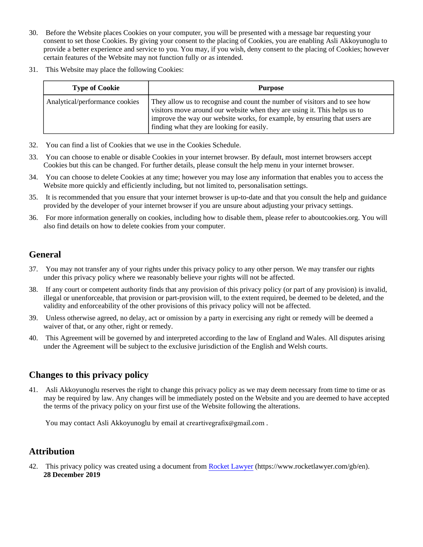- 30. Before the Website places Cookies on your computer, you will be presented with a message bar requesting your consent to set those Cookies. By giving your consent to the placing of Cookies, you are enabling Asli Akkoyunoglu to provide a better experience and service to you. You may, if you wish, deny consent to the placing of Cookies; however certain features of the Website may not function fully or as intended.
- 31. This Website may place the following Cookies:

| <b>Type of Cookie</b>          | <b>Purpose</b>                                                                                                                                                                                                                                                                       |
|--------------------------------|--------------------------------------------------------------------------------------------------------------------------------------------------------------------------------------------------------------------------------------------------------------------------------------|
| Analytical/performance cookies | They allow us to recognise and count the number of visitors and to see how<br>visitors move around our website when they are using it. This helps us to<br>improve the way our website works, for example, by ensuring that users are<br>I finding what they are looking for easily. |

- 32. You can find a list of Cookies that we use in the Cookies Schedule.
- 33. You can choose to enable or disable Cookies in your internet browser. By default, most internet browsers accept Cookies but this can be changed. For further details, please consult the help menu in your internet browser.
- 34. You can choose to delete Cookies at any time; however you may lose any information that enables you to access the Website more quickly and efficiently including, but not limited to, personalisation settings.
- 35. It is recommended that you ensure that your internet browser is up-to-date and that you consult the help and guidance provided by the developer of your internet browser if you are unsure about adjusting your privacy settings.
- 36. For more information generally on cookies, including how to disable them, please refer to aboutcookies.org. You will also find details on how to delete cookies from your computer.

# **General**

- 37. You may not transfer any of your rights under this privacy policy to any other person. We may transfer our rights under this privacy policy where we reasonably believe your rights will not be affected.
- 38. If any court or competent authority finds that any provision of this privacy policy (or part of any provision) is invalid, illegal or unenforceable, that provision or part-provision will, to the extent required, be deemed to be deleted, and the validity and enforceability of the other provisions of this privacy policy will not be affected.
- 39. Unless otherwise agreed, no delay, act or omission by a party in exercising any right or remedy will be deemed a waiver of that, or any other, right or remedy.
- 40. This Agreement will be governed by and interpreted according to the law of England and Wales. All disputes arising under the Agreement will be subject to the exclusive jurisdiction of the English and Welsh courts.

# **Changes to this privacy policy**

41. Asli Akkoyunoglu reserves the right to change this privacy policy as we may deem necessary from time to time or as may be required by law. Any changes will be immediately posted on the Website and you are deemed to have accepted the terms of the privacy policy on your first use of the Website following the alterations.

You may contact Asli Akkoyunoglu by email at creartivegrafix@gmail.com .

# **Attribution**

42. This privacy policy was created using a document from [Rocket Lawyer](https://www.rocketlawyer.com/gb/en/) (https://www.rocketlawyer.com/gb/en). **28 December 2019**